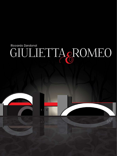# Riccardo Zandonai GIULIETTA ROMEO



П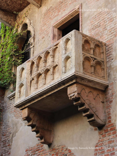Teatro Grattacielo. NY, US

Image by Samuele Schirò from Pixabay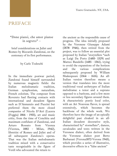

### "**Done piansì, che amor pianse in segreto" –**

brief considerations on Juliet and Romeo by Riccardo Zandonai, on the centenary of its first performance.

#### by Carlo Todeschi

In the immediate postwar period, Zandonai found himself surrounded by numerous magnetic fields: the Italian melodramatic tradition, German symphonism, naturalism, French colorism. The composer from Rovereto had fleeting contacts with international and decadent figures such as D'Annunzio and Puccini but preferred them the more closed companies of Nicola D'Atri (Lucera (Foggia) 1866 - 1955), art and music critic, from the time of Conchita and maximum confidant of Zandonai, and Arturo Rossato from Vicenza (Vicenza, 1882 - Milan, 1942), librettist of Romeo and Juliet and of all subsequent Zandona's operas. That was the Italian melodramatic tradition mixed with a conservative taste recognizable in the figure of Verdi who advocated the return to

the ancient as the responsible cause of progress. The idea initially proposed by the Veronese Giuseppe Adami (1878- 1946), then retired from the project, was to follow an essential plot proposed by Italian "storytellers "such as Luigi Da Porto (1485- 1529) and Matteo Bandello (1485 - 1561), trying to avoid the expansions of the horizon and the various complications subsequently proposed by William Shakespeare (1564 - 1616). An all-Italian version therefore means a version that translates into the more traditional vocal archetypes of Italian melodrama: a tenor and a soprano opposed to a baritone, and a few more or less secondary figures around them. A characteristic poetic local color, with an Art Nouveau flavor, is spread extensively, which becomes the backbone of the whole work. We therefore have the image of an epically delightful past cloaked in an all-Italian decadent decorative style, characterized by" stornellate", dances, cavalcades and texts written in the Veronese dialect, often derived from the Veronese dialect poet Berto Barbarani (Verona1872-Verona 1945), which provides a series of illustrative, decorative effects in a "false ancient"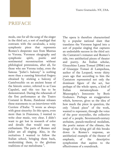# **PREFACE**

mode, one for all the song of the singer in the third act, a sort of madrigal that contrasts with the cavalcade, a noisy symphonic piece that represents Romeo's desperate race from Mantua to Verona. Veronese oleography and<br>symphonic spirit, poetic and symphonic spirit, poetic and sentimental reconstruction without philological pretensions, after all, for those who see Verona today, even the famous "Juliet's balcony" is nothing more than a cunning historical forgery obtained by sticking a balcony of Castelvecchio on an ancient house of the historic center, referred to as Casa Capuleti, and this too has to be demonstrated. During the rehearsals of the first performance at the Teatro Costanzi in Rome, Zandonai releases these statements to an interviewer with Corriere d'Italia: "I wrote as always with great sincerity: In this opera, even more than in Francesca, I wanted to write clear music, very clear. I didn't want to get lost in research of color and details that would ease my enthusiasm. The parts of Romeo and Juliet are all singing. Also, in the recitatives I wanted to follow the Italian school, bringing them back, modernizing them, to the glorious traditions of our melodrama ".

The opera is therefore characterized by a popular national slant that translates the Veronese legend into a sort of popular singing that captures an undeniable success in the third act: the Cantatore's romance and Romeo's ride, two antithetical pieces of theater and poetry. An Italian scholar, Gioacchino Lanza Tomasi (1934-) son of Giuseppe Tomasi di Lampedusa, author of the Leopard, wrote thirty years ago that according to him the Cantatore represented not only the dominant figure of the act, but perhaps of the whole opera, a kind of Italian metamorphosis of Mussorgsky's Innocente by Boris Godunov. Perhaps an exaggeration which, however, gives us the idea of how much the piece in question, the only "closed piece" of the work, wanted to represent, through the voice of the poor storyteller, the collective soul of a people. Seventeenth-century archaism, pseudo-medieval modalism, the poetic nature of the climate, the image of the dying girl all this breaks down in Romeo's response, an antithetical example of the theater of emphasis, of the descriptive symphonism that aspires to the effectiveness of a soundtrack.